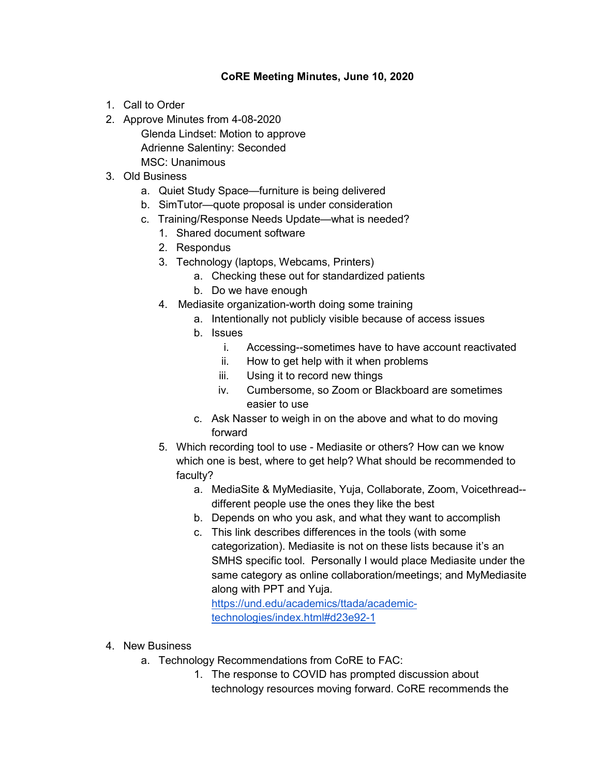## **CoRE Meeting Minutes, June 10, 2020**

- 1. Call to Order
- 2. Approve Minutes from 4-08-2020 Glenda Lindset: Motion to approve Adrienne Salentiny: Seconded MSC: Unanimous
- 3. Old Business
	- a. Quiet Study Space—furniture is being delivered
	- b. SimTutor—quote proposal is under consideration
	- c. Training/Response Needs Update—what is needed?
		- 1. Shared document software
		- 2. Respondus
		- 3. Technology (laptops, Webcams, Printers)
			- a. Checking these out for standardized patients
			- b. Do we have enough
		- 4. Mediasite organization-worth doing some training
			- a. Intentionally not publicly visible because of access issues
				- b. Issues
					- i. Accessing--sometimes have to have account reactivated
					- ii. How to get help with it when problems
					- iii. Using it to record new things
					- iv. Cumbersome, so Zoom or Blackboard are sometimes easier to use
				- c. Ask Nasser to weigh in on the above and what to do moving forward
		- 5. Which recording tool to use Mediasite or others? How can we know which one is best, where to get help? What should be recommended to faculty?
			- a. MediaSite & MyMediasite, Yuja, Collaborate, Zoom, Voicethread- different people use the ones they like the best
			- b. Depends on who you ask, and what they want to accomplish
			- c. This link describes differences in the tools (with some categorization). Mediasite is not on these lists because it's an SMHS specific tool. Personally I would place Mediasite under the same category as online collaboration/meetings; and MyMediasite along with PPT and Yuja.

[https://und.edu/academics/ttada/academic](https://und.edu/academics/ttada/academic-technologies/index.html#d23e92-1)[technologies/index.html#d23e92-1](https://und.edu/academics/ttada/academic-technologies/index.html#d23e92-1)

- 4. New Business
	- a. Technology Recommendations from CoRE to FAC:
		- 1. The response to COVID has prompted discussion about technology resources moving forward. CoRE recommends the